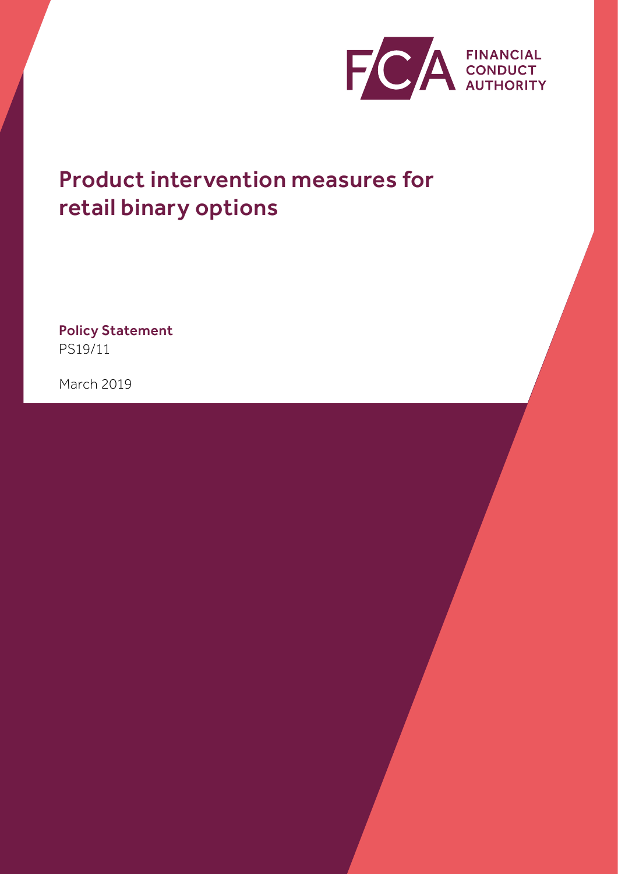

# Product intervention measures for retail binary options

Policy Statement PS19/11

March 2019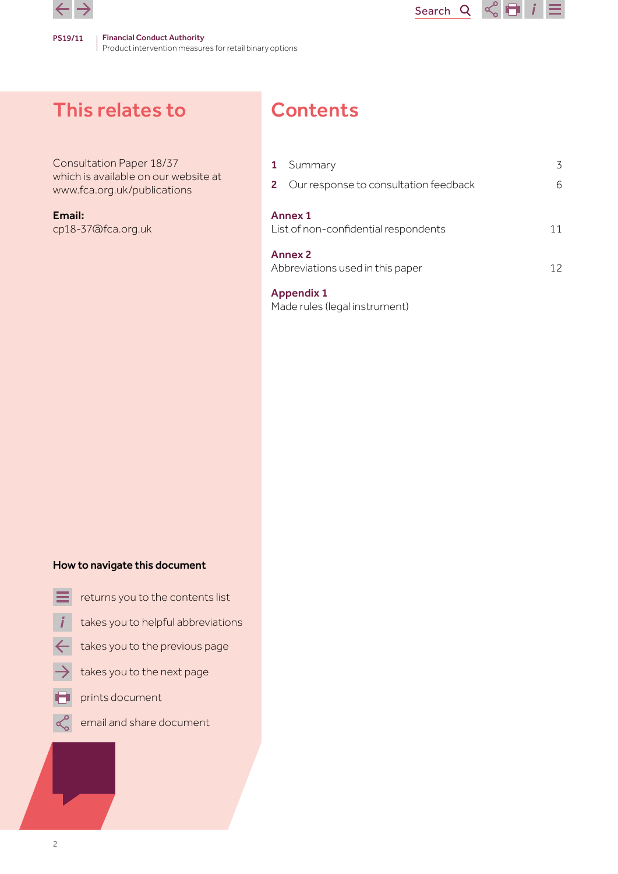

# This relates to

Consultation Paper 18/37 which is available on our website at [www.fca.org.uk/publications](http://www.fca.org.uk/publications)

Email: cp18-37@fca.org.uk

# **Contents**

| $\mathbf{1}$ | Summary                                                  | 3  |
|--------------|----------------------------------------------------------|----|
|              | 2 Our response to consultation feedback                  | 6  |
|              | <b>Annex 1</b><br>List of non-confidential respondents   | 11 |
|              | <b>Annex 2</b><br>Abbreviations used in this paper<br>12 |    |
|              | <b>Appendix 1</b>                                        |    |

Search<sub>Q</sub>

 $\leq$   $\blacksquare$  i

[Made rules \(legal instrument\)](#page-12-0)

### How to navigate this document

- returns you to the contents list
- takes you to helpful abbreviations
- takes you to the previous page
- takes you to the next page
- prints document
	- email and share document

 $\alpha$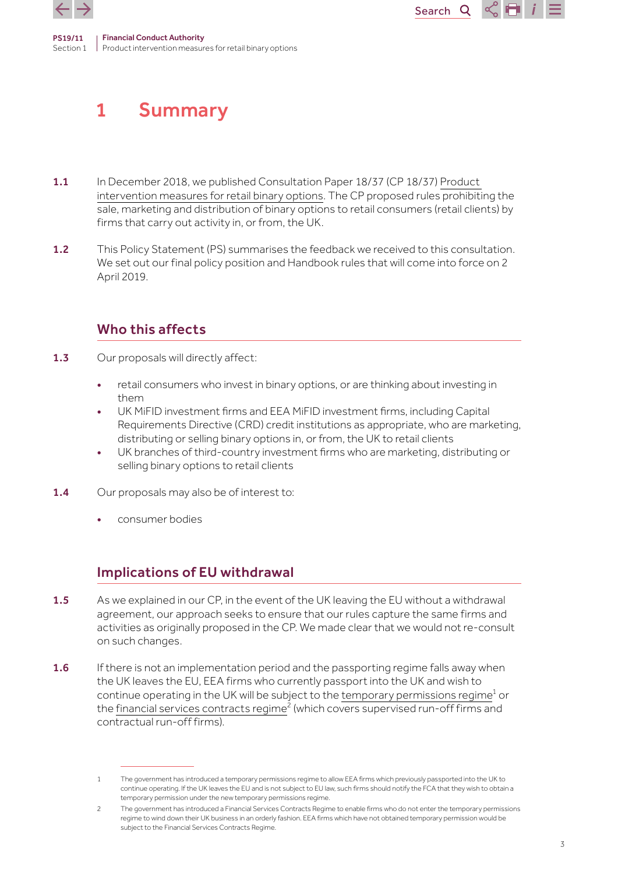<span id="page-2-0"></span>

Section 1



Product intervention measures for retail binary options

- 1.1 In December 2018, we published Consultation Paper 18/37 (CP 18/37) Product [intervention measures for retail binary options.](https://www.fca.org.uk/publication/consultation/cp18-37.pdf) The CP proposed rules prohibiting the sale, marketing and distribution of binary options to retail consumers (retail clients) by firms that carry out activity in, or from, the UK.
- 1.2 This Policy Statement (PS) summarises the feedback we received to this consultation. We set out our final policy position and Handbook rules that will come into force on 2 April 2019.

## Who this affects

- 1.3 Our proposals will directly affect:
	- retail consumers who invest in binary options, or are thinking about investing in them
	- UK MiFID investment firms and EEA MiFID investment firms, including Capital Requirements Directive (CRD) credit institutions as appropriate, who are marketing, distributing or selling binary options in, or from, the UK to retail clients
	- UK branches of third-country investment firms who are marketing, distributing or selling binary options to retail clients
- 1.4 Our proposals may also be of interest to:
	- consumer bodies

## Implications of EU withdrawal

- 1.5 As we explained in our CP, in the event of the UK leaving the EU without a withdrawal agreement, our approach seeks to ensure that our rules capture the same firms and activities as originally proposed in the CP. We made clear that we would not re-consult on such changes.
- 1.6 If there is not an implementation period and the passporting regime falls away when the UK leaves the EU, EEA firms who currently passport into the UK and wish to continue operating in the UK will be subject to the <u>temporary permissions regime<sup>1</sup> or</u> the <u>financial services contracts regime<sup>2</sup> (which covers supervised run-off firms and</u> contractual run-off firms).

<sup>1</sup> The government has introduced a temporary permissions regime to allow EEA firms which previously passported into the UK to continue operating. If the UK leaves the EU and is not subject to EU law, such firms should notify the FCA that they wish to obtain a temporary permission under the new temporary permissions regime.

<sup>2</sup> The government has introduced a Financial Services Contracts Regime to enable firms who do not enter the temporary permissions regime to wind down their UK business in an orderly fashion. EEA firms which have not obtained temporary permission would be subject to the Financial Services Contracts Regime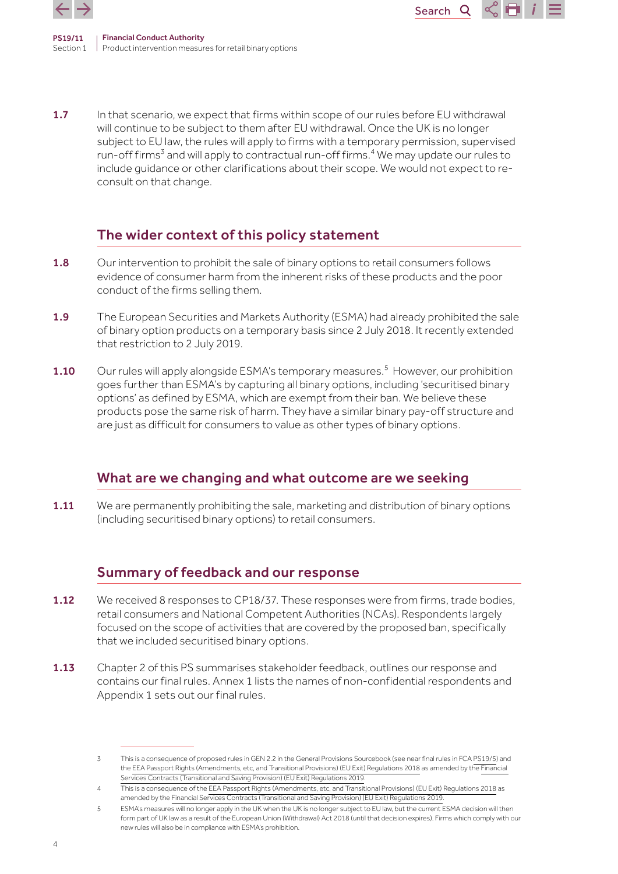

1.7 In that scenario, we expect that firms within scope of our rules before EU withdrawal will continue to be subject to them after EU withdrawal. Once the UK is no longer subject to EU law, the rules will apply to firms with a temporary permission, supervised run-off firms<sup>3</sup> and will apply to contractual run-off firms.<sup>4</sup> We may update our rules to include guidance or other clarifications about their scope. We would not expect to reconsult on that change.

Search<sub>Q</sub>

 $\propto$  Fi i

# The wider context of this policy statement

- 1.8 Our intervention to prohibit the sale of binary options to retail consumers follows evidence of consumer harm from the inherent risks of these products and the poor conduct of the firms selling them.
- 1.9 The European Securities and Markets Authority (ESMA) had already prohibited the sale of binary option products on a temporary basis since 2 July 2018. It recently extended that restriction to 2 July 2019.
- **1.10** Our rules will apply alongside ESMA's temporary measures.<sup>5</sup> However, our prohibition goes further than ESMA's by capturing all binary options, including 'securitised binary options' as defined by ESMA, which are exempt from their ban. We believe these products pose the same risk of harm. They have a similar binary pay-off structure and are just as difficult for consumers to value as other types of binary options.

## What are we changing and what outcome are we seeking

1.11 We are permanently prohibiting the sale, marketing and distribution of binary options (including securitised binary options) to retail consumers.

## Summary of feedback and our response

- 1.12 We received 8 responses to CP18/37. These responses were from firms, trade bodies, retail consumers and National Competent Authorities (NCAs). Respondents largely focused on the scope of activities that are covered by the proposed ban, specifically that we included securitised binary options.
- 1.13 Chapter 2 of this PS summarises stakeholder feedback, outlines our response and contains our final rules. Annex 1 lists the names of non-confidential respondents and Appendix 1 sets out our final rules.

<sup>3</sup> This is a consequence of proposed rules in GEN 2.2 in the General Provisions Sourcebook (see near final rules in FCA [PS19/5](https://www.fca.org.uk/publications/policy-statements/ps19-5-brexit-policy-statement)) and the [EEA Passport Rights \(Amendments, etc, and Transitional Provisions\) \(EU Exit\) Regulations 2018](https://www.legislation.gov.uk/ukdsi/2018/9780111172421/pdfs/ukdsi_9780111172421_en.pdf) as amended by the [Financial](https://www.legislation.gov.uk/uksi/2019/405/pdfs/uksi_20190405_en.pdf)  [Services Contracts \(Transitional and Saving Provision\) \(EU Exit\) Regulations 2019](https://www.legislation.gov.uk/uksi/2019/405/pdfs/uksi_20190405_en.pdf).

<sup>4</sup> This is a consequence of the [EEA Passport Rights \(Amendments, etc, and Transitional Provisions\) \(EU Exit\) Regulations 2018](https://www.legislation.gov.uk/ukdsi/2018/9780111172421/pdfs/ukdsi_9780111172421_en.pdf) as amended by the [Financial Services Contracts \(Transitional and Saving Provision\) \(EU Exit\) Regulations 2019](https://www.legislation.gov.uk/uksi/2019/405/pdfs/uksi_20190405_en.pdf)

<sup>5</sup> ESMA's measures will no longer apply in the UK when the UK is no longer subject to EU law, but the current ESMA decision will then form part of UK law as a result of the European Union (Withdrawal) Act 2018 (until that decision expires). Firms which comply with our new rules will also be in compliance with ESMA's prohibition.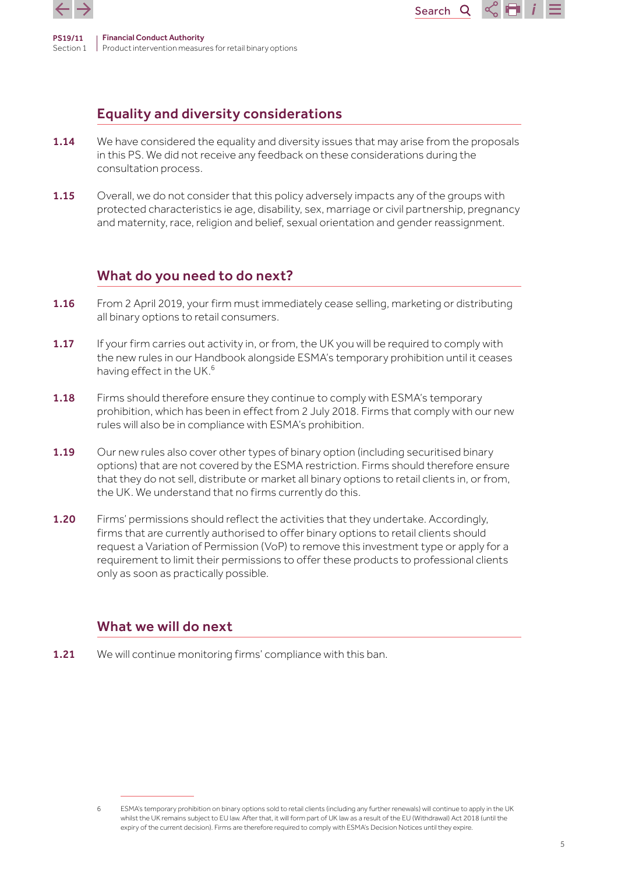

# Equality and diversity considerations

1.14 We have considered the equality and diversity issues that may arise from the proposals in this PS. We did not receive any feedback on these considerations during the consultation process.

Search<sup>Q</sup>

 $\sim$  14

**1.15** Overall, we do not consider that this policy adversely impacts any of the groups with protected characteristics ie age, disability, sex, marriage or civil partnership, pregnancy and maternity, race, religion and belief, sexual orientation and gender reassignment.

# What do you need to do next?

- 1.16 From 2 April 2019, your firm must immediately cease selling, marketing or distributing all binary options to retail consumers.
- 1.17 If your firm carries out activity in, or from, the UK you will be required to comply with the new rules in our Handbook alongside ESMA's temporary prohibition until it ceases having effect in the UK.<sup>6</sup>
- 1.18 Firms should therefore ensure they continue to comply with ESMA's temporary prohibition, which has been in effect from 2 July 2018. Firms that comply with our new rules will also be in compliance with ESMA's prohibition.
- **1.19** Our new rules also cover other types of binary option (including securitised binary options) that are not covered by the ESMA restriction. Firms should therefore ensure that they do not sell, distribute or market all binary options to retail clients in, or from, the UK. We understand that no firms currently do this.
- 1.20 Firms' permissions should reflect the activities that they undertake. Accordingly, firms that are currently authorised to offer binary options to retail clients should request a Variation of Permission (VoP) to remove this investment type or apply for a requirement to limit their permissions to offer these products to professional clients only as soon as practically possible.

## What we will do next

**1.21** We will continue monitoring firms' compliance with this ban.

<sup>6</sup> ESMA's temporary prohibition on binary options sold to retail clients (including any further renewals) will continue to apply in the UK whilst the UK remains subject to EU law. After that, it will form part of UK law as a result of the EU (Withdrawal) Act 2018 (until the expiry of the current decision). Firms are therefore required to comply with ESMA's Decision Notices until they expire.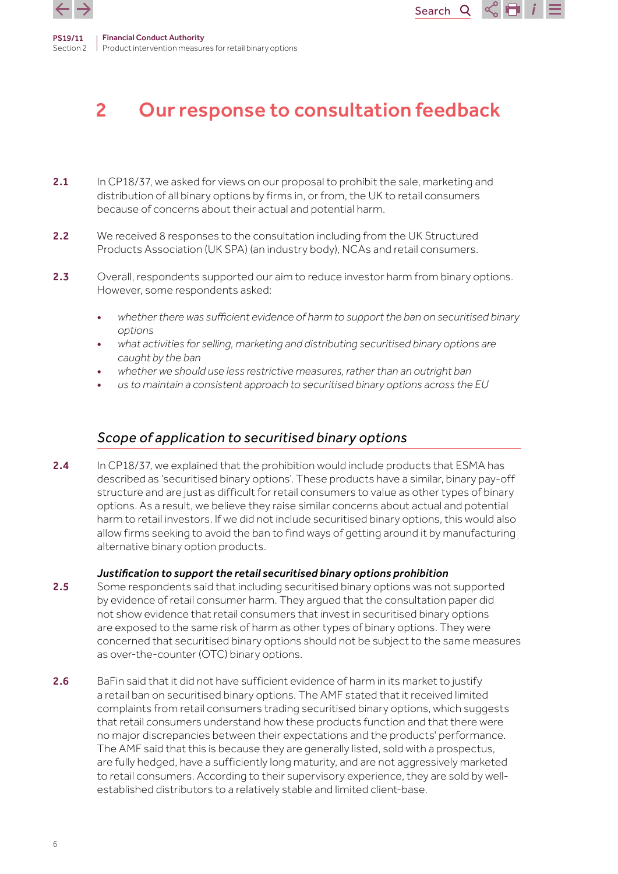<span id="page-5-0"></span>

# 2 Our response to consultation feedback

Search<sup>Q</sup>

C ET

- 2.1 In CP18/37, we asked for views on our proposal to prohibit the sale, marketing and distribution of all binary options by firms in, or from, the UK to retail consumers because of concerns about their actual and potential harm.
- 2.2 We received 8 responses to the consultation including from the UK Structured Products Association (UK SPA) (an industry body), NCAs and retail consumers.
- 2.3 Overall, respondents supported our aim to reduce investor harm from binary options. However, some respondents asked:
	- *whether there was sufficient evidence of harm to support the ban on securitised binary options*
	- *what activities for selling, marketing and distributing securitised binary options are caught by the ban*
	- *whether we should use less restrictive measures, rather than an outright ban*
	- *us to maintain a consistent approach to securitised binary options across the EU*

## *Scope of application to securitised binary options*

2.4 In CP18/37, we explained that the prohibition would include products that ESMA has described as 'securitised binary options'. These products have a similar, binary pay-off structure and are just as difficult for retail consumers to value as other types of binary options. As a result, we believe they raise similar concerns about actual and potential harm to retail investors. If we did not include securitised binary options, this would also allow firms seeking to avoid the ban to find ways of getting around it by manufacturing alternative binary option products.

#### *Justification to support the retail securitised binary options prohibition*

- 2.5 Some respondents said that including securitised binary options was not supported by evidence of retail consumer harm. They argued that the consultation paper did not show evidence that retail consumers that invest in securitised binary options are exposed to the same risk of harm as other types of binary options. They were concerned that securitised binary options should not be subject to the same measures as over-the-counter (OTC) binary options.
- 2.6 BaFin said that it did not have sufficient evidence of harm in its market to justify a retail ban on securitised binary options. The AMF stated that it received limited complaints from retail consumers trading securitised binary options, which suggests that retail consumers understand how these products function and that there were no major discrepancies between their expectations and the products' performance. The AMF said that this is because they are generally listed, sold with a prospectus, are fully hedged, have a sufficiently long maturity, and are not aggressively marketed to retail consumers. According to their supervisory experience, they are sold by wellestablished distributors to a relatively stable and limited client-base.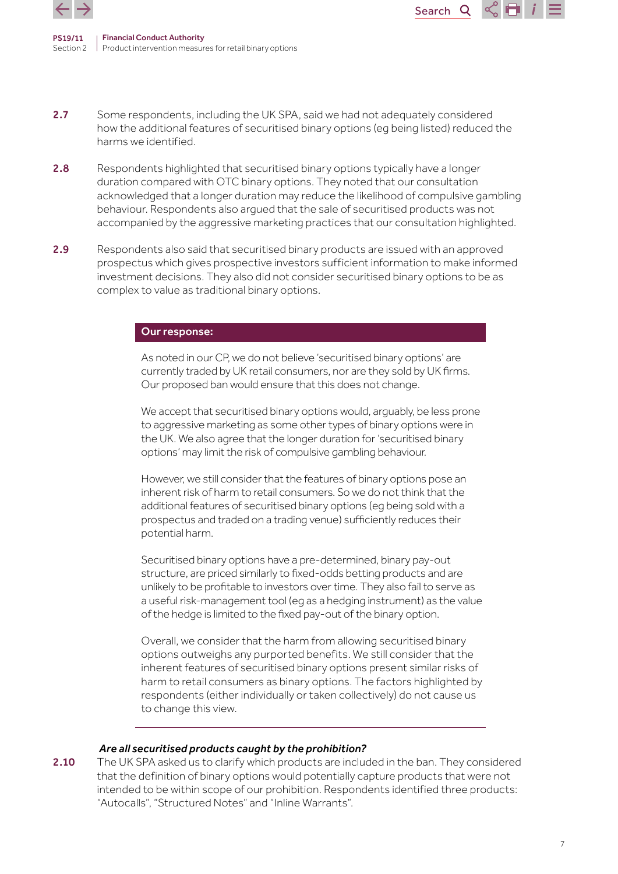

PS19/11 Section 2 Financial Conduct Authority Product intervention measures for retail binary options

2.7 Some respondents, including the UK SPA, said we had not adequately considered how the additional features of securitised binary options (eg being listed) reduced the harms we identified.

Search

Q

- 2.8 Respondents highlighted that securitised binary options typically have a longer duration compared with OTC binary options. They noted that our consultation acknowledged that a longer duration may reduce the likelihood of compulsive gambling behaviour. Respondents also argued that the sale of securitised products was not accompanied by the aggressive marketing practices that our consultation highlighted.
- 2.9 Respondents also said that securitised binary products are issued with an approved prospectus which gives prospective investors sufficient information to make informed investment decisions. They also did not consider securitised binary options to be as complex to value as traditional binary options.

#### Our response:

As noted in our CP, we do not believe 'securitised binary options' are currently traded by UK retail consumers, nor are they sold by UK firms. Our proposed ban would ensure that this does not change.

We accept that securitised binary options would, arguably, be less prone to aggressive marketing as some other types of binary options were in the UK. We also agree that the longer duration for 'securitised binary options' may limit the risk of compulsive gambling behaviour.

However, we still consider that the features of binary options pose an inherent risk of harm to retail consumers. So we do not think that the additional features of securitised binary options (eg being sold with a prospectus and traded on a trading venue) sufficiently reduces their potential harm.

Securitised binary options have a pre-determined, binary pay-out structure, are priced similarly to fixed-odds betting products and are unlikely to be profitable to investors over time. They also fail to serve as a useful risk-management tool (eg as a hedging instrument) as the value of the hedge is limited to the fixed pay-out of the binary option.

Overall, we consider that the harm from allowing securitised binary options outweighs any purported benefits. We still consider that the inherent features of securitised binary options present similar risks of harm to retail consumers as binary options. The factors highlighted by respondents (either individually or taken collectively) do not cause us to change this view.

#### *Are all securitised products caught by the prohibition?*

2.10 The UK SPA asked us to clarify which products are included in the ban. They considered that the definition of binary options would potentially capture products that were not intended to be within scope of our prohibition. Respondents identified three products: "Autocalls", "Structured Notes" and "Inline Warrants".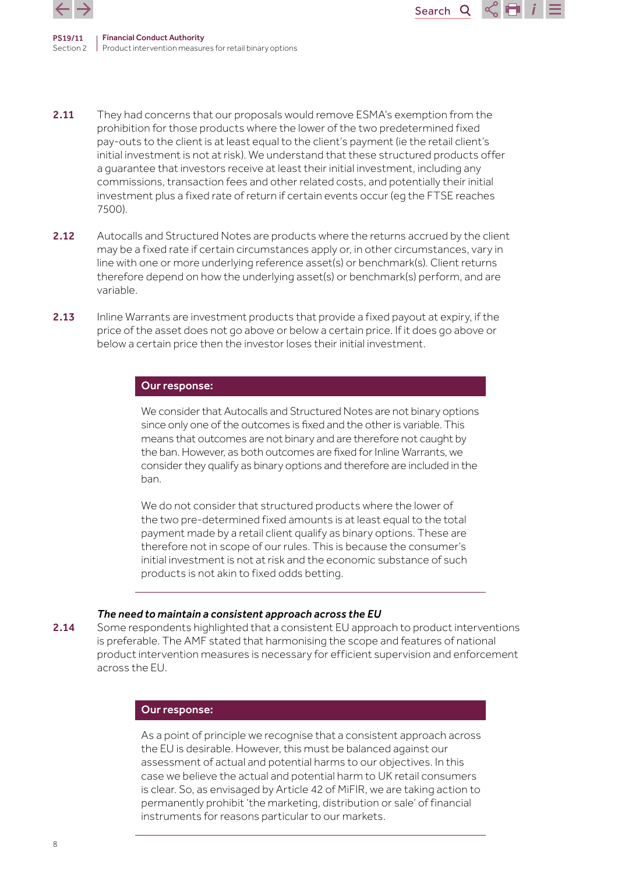

PS19/11 Section 2 Product intervention measures for retail binary options Financial Conduct Authority

2.11 They had concerns that our proposals would remove ESMA's exemption from the prohibition for those products where the lower of the two predetermined fixed pay-outs to the client is at least equal to the client's payment (ie the retail client's initial investment is not at risk). We understand that these structured products offer a guarantee that investors receive at least their initial investment, including any commissions, transaction fees and other related costs, and potentially their initial investment plus a fixed rate of return if certain events occur (eg the FTSE reaches 7500).

Search<sub>Q</sub>

- 2.12 Autocalls and Structured Notes are products where the returns accrued by the client may be a fixed rate if certain circumstances apply or, in other circumstances, vary in line with one or more underlying reference asset(s) or benchmark(s). Client returns therefore depend on how the underlying asset(s) or benchmark(s) perform, and are variable.
- 2.13 Inline Warrants are investment products that provide a fixed payout at expiry, if the price of the asset does not go above or below a certain price. If it does go above or below a certain price then the investor loses their initial investment.

#### Our response:

We consider that Autocalls and Structured Notes are not binary options since only one of the outcomes is fixed and the other is variable. This means that outcomes are not binary and are therefore not caught by the ban. However, as both outcomes are fixed for Inline Warrants, we consider they qualify as binary options and therefore are included in the ban.

We do not consider that structured products where the lower of the two pre-determined fixed amounts is at least equal to the total payment made by a retail client qualify as binary options. These are therefore not in scope of our rules. This is because the consumer's initial investment is not at risk and the economic substance of such products is not akin to fixed odds betting.

#### *The need to maintain a consistent approach across the EU*

2.14 Some respondents highlighted that a consistent EU approach to product interventions is preferable. The AMF stated that harmonising the scope and features of national product intervention measures is necessary for efficient supervision and enforcement across the EU.

#### Our response:

As a point of principle we recognise that a consistent approach across the EU is desirable. However, this must be balanced against our assessment of actual and potential harms to our objectives. In this case we believe the actual and potential harm to UK retail consumers is clear. So, as envisaged by Article 42 of MiFIR, we are taking action to permanently prohibit 'the marketing, distribution or sale' of financial instruments for reasons particular to our markets.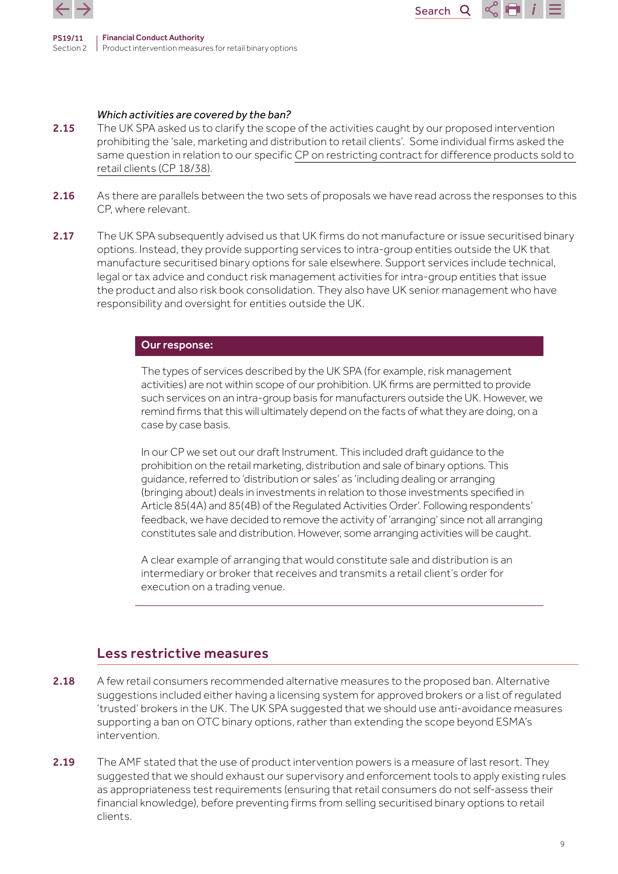

#### *Which activities are covered by the ban?*

2.15 The UK SPA asked us to clarify the scope of the activities caught by our proposed intervention prohibiting the 'sale, marketing and distribution to retail clients'. Some individual firms asked the same question in relation to our specific [CP on restricting contract for difference products sold to](https://www.fca.org.uk/publication/consultation/cp18-38.pdf)  [retail clients \(CP 18/38\)](https://www.fca.org.uk/publication/consultation/cp18-38.pdf).

Search<sub>Q</sub>

 $\propto$  H

- 2.16 As there are parallels between the two sets of proposals we have read across the responses to this CP, where relevant.
- 2.17 The UK SPA subsequently advised us that UK firms do not manufacture or issue securitised binary options. Instead, they provide supporting services to intra-group entities outside the UK that manufacture securitised binary options for sale elsewhere. Support services include technical, legal or tax advice and conduct risk management activities for intra-group entities that issue the product and also risk book consolidation. They also have UK senior management who have responsibility and oversight for entities outside the UK.

#### Our response:

The types of services described by the UK SPA (for example, risk management activities) are not within scope of our prohibition. UK firms are permitted to provide such services on an intra-group basis for manufacturers outside the UK. However, we remind firms that this will ultimately depend on the facts of what they are doing, on a case by case basis.

In our CP we set out our draft Instrument. This included draft guidance to the prohibition on the retail marketing, distribution and sale of binary options. This guidance, referred to 'distribution or sales' as 'including dealing or arranging (bringing about) deals in investments in relation to those investments specified in Article 85(4A) and 85(4B) of the Regulated Activities Order'. Following respondents' feedback, we have decided to remove the activity of 'arranging' since not all arranging constitutes sale and distribution. However, some arranging activities will be caught.

A clear example of arranging that would constitute sale and distribution is an intermediary or broker that receives and transmits a retail client's order for execution on a trading venue.

## Less restrictive measures

- 2.18 A few retail consumers recommended alternative measures to the proposed ban. Alternative suggestions included either having a licensing system for approved brokers or a list of regulated 'trusted' brokers in the UK. The UK SPA suggested that we should use anti-avoidance measures supporting a ban on OTC binary options, rather than extending the scope beyond ESMA's intervention.
- 2.19 The AMF stated that the use of product intervention powers is a measure of last resort. They suggested that we should exhaust our supervisory and enforcement tools to apply existing rules as appropriateness test requirements (ensuring that retail consumers do not self-assess their financial knowledge), before preventing firms from selling securitised binary options to retail clients.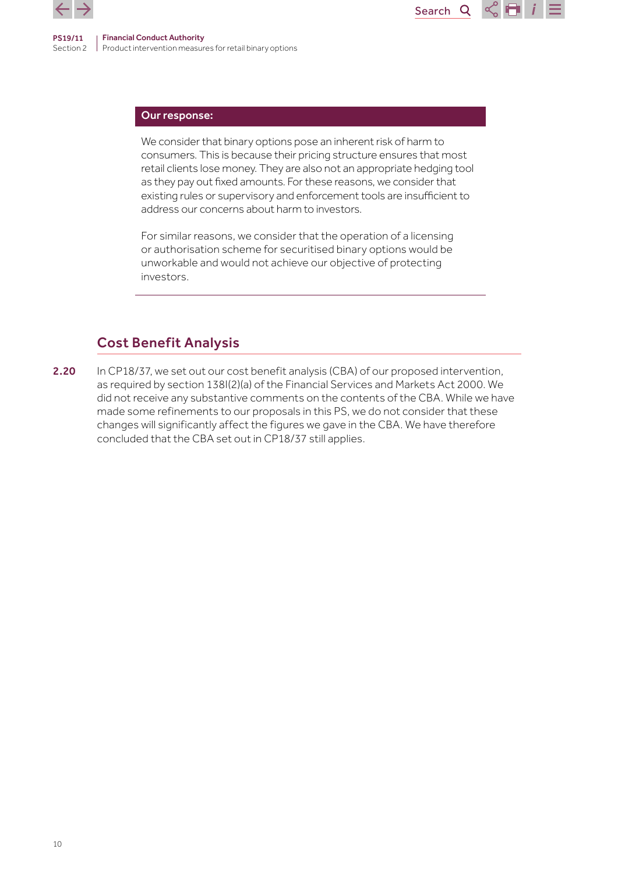

#### Our response:

We consider that binary options pose an inherent risk of harm to consumers. This is because their pricing structure ensures that most retail clients lose money. They are also not an appropriate hedging tool as they pay out fixed amounts. For these reasons, we consider that existing rules or supervisory and enforcement tools are insufficient to address our concerns about harm to investors.

Search<sub>Q</sub>

For similar reasons, we consider that the operation of a licensing or authorisation scheme for securitised binary options would be unworkable and would not achieve our objective of protecting investors.

## Cost Benefit Analysis

2.20 In CP18/37, we set out our cost benefit analysis (CBA) of our proposed intervention, as required by section 138I(2)(a) of the Financial Services and Markets Act 2000. We did not receive any substantive comments on the contents of the CBA. While we have made some refinements to our proposals in this PS, we do not consider that these changes will significantly affect the figures we gave in the CBA. We have therefore concluded that the CBA set out in CP18/37 still applies.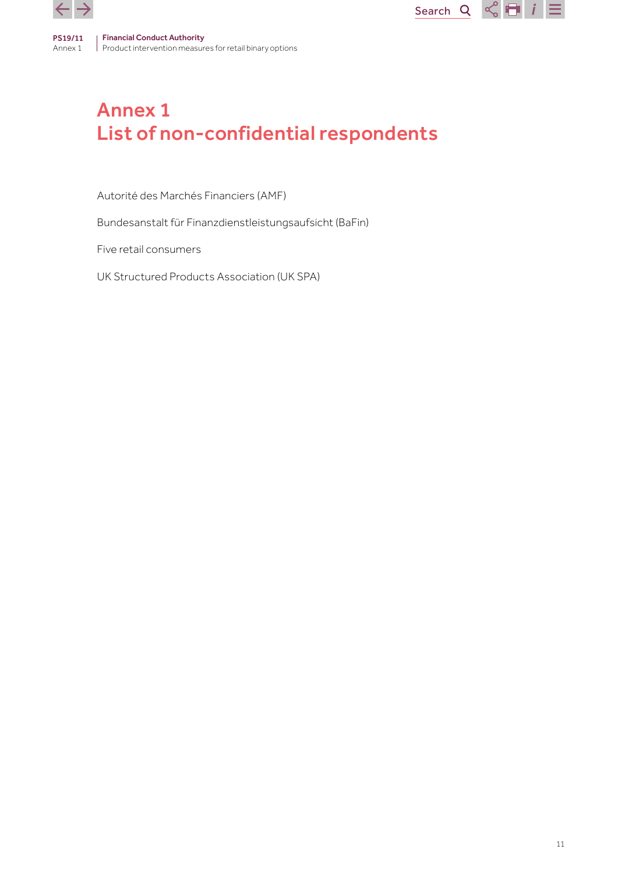<span id="page-10-0"></span>



Autorité des Marchés Financiers (AMF)

Bundesanstalt für Finanzdienstleistungsaufsicht (BaFin)

Five retail consumers

UK Structured Products Association (UK SPA)

Search  $Q \ll \blacksquare$   $i \equiv$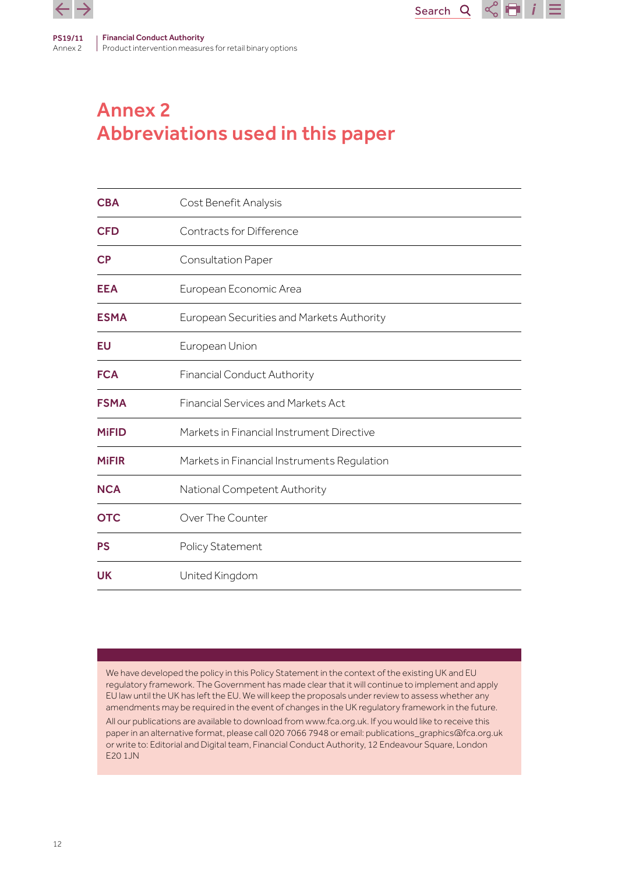<span id="page-11-0"></span>

# Annex 2 Abbreviations used in this paper

| <b>CBA</b>             | Cost Benefit Analysis                       |
|------------------------|---------------------------------------------|
| <b>CFD</b>             | Contracts for Difference                    |
| $\mathsf{C}\mathsf{P}$ | <b>Consultation Paper</b>                   |
| <b>EEA</b>             | European Economic Area                      |
| <b>ESMA</b>            | European Securities and Markets Authority   |
| EU                     | European Union                              |
| <b>FCA</b>             | <b>Financial Conduct Authority</b>          |
| <b>FSMA</b>            | <b>Financial Services and Markets Act</b>   |
| <b>MiFID</b>           | Markets in Financial Instrument Directive   |
| <b>MiFIR</b>           | Markets in Financial Instruments Regulation |
| <b>NCA</b>             | National Competent Authority                |
| <b>OTC</b>             | Over The Counter                            |
| <b>PS</b>              | Policy Statement                            |
| <b>UK</b>              | United Kingdom                              |

Search<sub>Q</sub>

 $\leq$   $\blacksquare$  i

We have developed the policy in this Policy Statement in the context of the existing UK and EU regulatory framework. The Government has made clear that it will continue to implement and apply EU law until the UK has left the EU. We will keep the proposals under review to assess whether any amendments may be required in the event of changes in the UK regulatory framework in the future. All our publications are available to download from www.fca.org.uk. If you would like to receive this paper in an alternative format, please call 020 7066 7948 or email: publications\_graphics@fca.org.uk or write to: Editorial and Digital team, Financial Conduct Authority, 12 Endeavour Square, London E20 1JN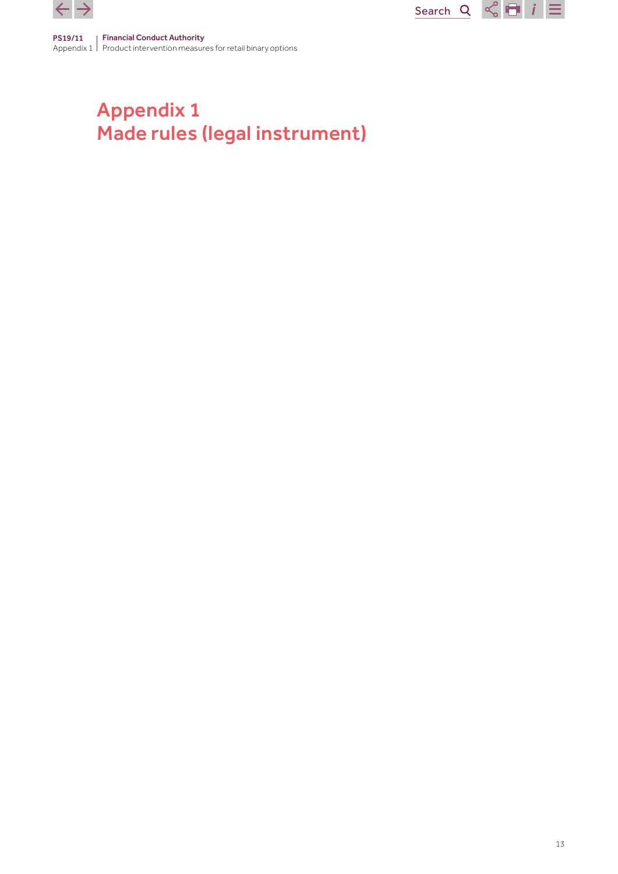<span id="page-12-0"></span>



# Appendix 1 Made rules (legal instrument)

Search  $Q \nvert \nvert Q \rvert = i \rvert \equiv$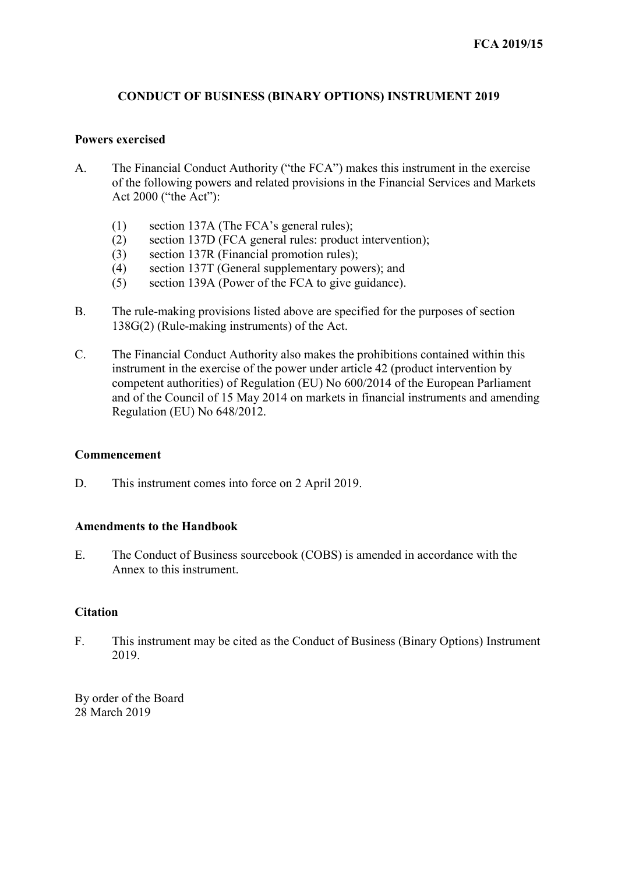## **CONDUCT OF BUSINESS (BINARY OPTIONS) INSTRUMENT 2019**

### **Powers exercised**

- A. The Financial Conduct Authority ("the FCA") makes this instrument in the exercise of the following powers and related provisions in the Financial Services and Markets Act 2000 ("the Act"):
	- (1) section 137A (The FCA's general rules);
	- (2) section 137D (FCA general rules: product intervention);
	- (3) section 137R (Financial promotion rules);
	- (4) section 137T (General supplementary powers); and
	- (5) section 139A (Power of the FCA to give guidance).
- B. The rule-making provisions listed above are specified for the purposes of section 138G(2) (Rule-making instruments) of the Act.
- C. The Financial Conduct Authority also makes the prohibitions contained within this instrument in the exercise of the power under article 42 (product intervention by competent authorities) of Regulation (EU) No 600/2014 of the European Parliament and of the Council of 15 May 2014 on markets in financial instruments and amending Regulation (EU) No 648/2012.

## **Commencement**

D. This instrument comes into force on 2 April 2019.

## **Amendments to the Handbook**

E. The Conduct of Business sourcebook (COBS) is amended in accordance with the Annex to this instrument.

## **Citation**

F. This instrument may be cited as the Conduct of Business (Binary Options) Instrument 2019.

By order of the Board 28 March 2019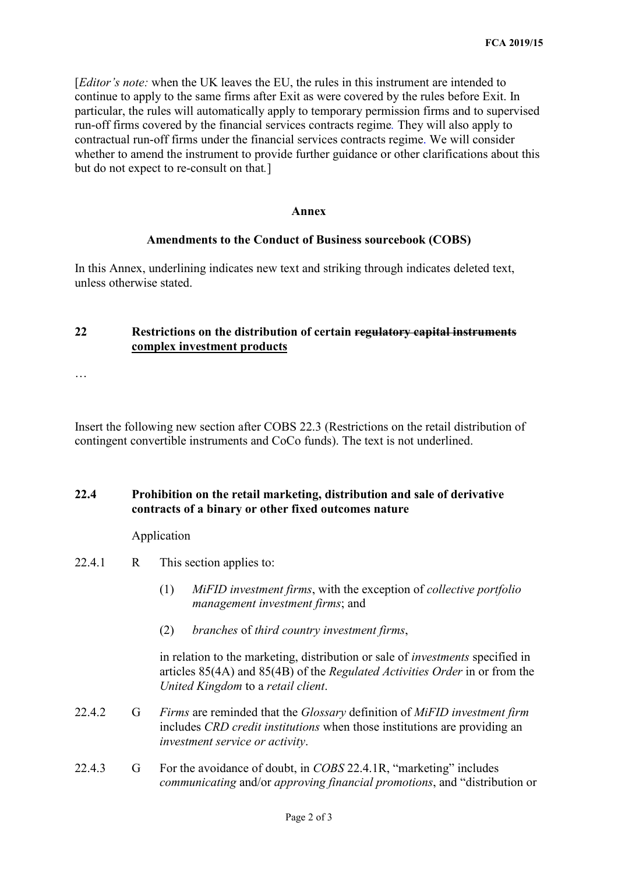[*Editor's note:* when the UK leaves the EU, the rules in this instrument are intended to continue to apply to the same firms after Exit as were covered by the rules before Exit. In particular, the rules will automatically apply to temporary permission firms and to supervised run-off firms covered by the financial services contracts regime*.* They will also apply to contractual run-off firms under the financial services contracts regime. We will consider whether to amend the instrument to provide further guidance or other clarifications about this but do not expect to re-consult on that*.*]

#### **Annex**

#### **Amendments to the Conduct of Business sourcebook (COBS)**

In this Annex, underlining indicates new text and striking through indicates deleted text, unless otherwise stated.

### **22 Restrictions on the distribution of certain regulatory capital instruments complex investment products**

…

Insert the following new section after COBS 22.3 (Restrictions on the retail distribution of contingent convertible instruments and CoCo funds). The text is not underlined.

## **22.4 Prohibition on the retail marketing, distribution and sale of derivative contracts of a binary or other fixed outcomes nature**

Application

- 22.4.1 R This section applies to:
	- (1) *MiFID investment firms*, with the exception of *collective portfolio management investment firms*; and
	- (2) *branches* of *third country investment firms*,

in relation to the marketing, distribution or sale of *investments* specified in articles 85(4A) and 85(4B) of the *Regulated Activities Order* in or from the *United Kingdom* to a *retail client*.

- 22.4.2 G *Firms* are reminded that the *Glossary* definition of *MiFID investment firm*  includes *CRD credit institutions* when those institutions are providing an *investment service or activity*.
- 22.4.3 G For the avoidance of doubt, in *COBS* 22.4.1R, "marketing" includes *communicating* and/or *approving financial promotions*, and "distribution or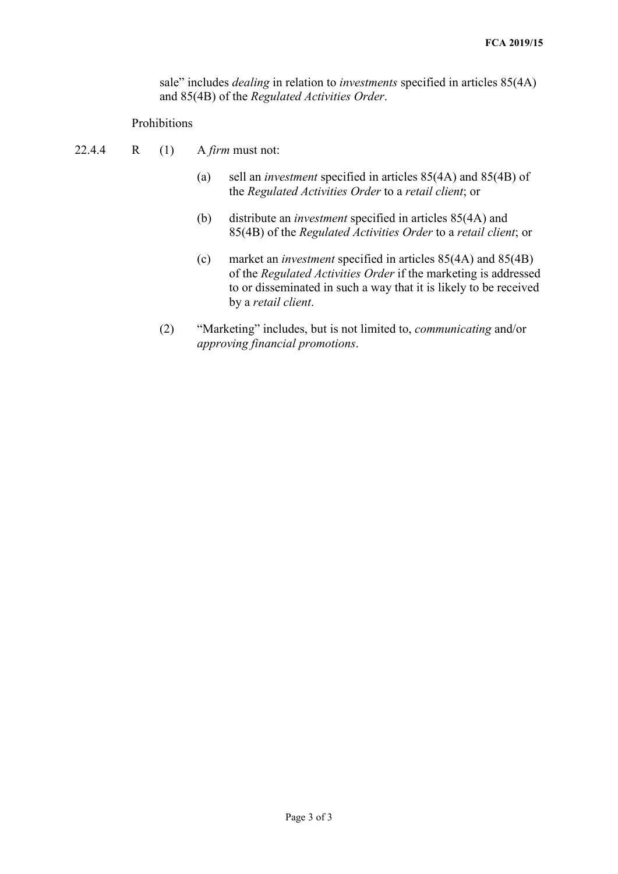sale" includes *dealing* in relation to *investments* specified in articles 85(4A) and 85(4B) of the *Regulated Activities Order*.

### Prohibitions

- 22.4.4 R (1) A *firm* must not:
	- (a) sell an *investment* specified in articles 85(4A) and 85(4B) of the *Regulated Activities Order* to a *retail client*; or
	- (b) distribute an *investment* specified in articles 85(4A) and 85(4B) of the *Regulated Activities Order* to a *retail client*; or
	- (c) market an *investment* specified in articles 85(4A) and 85(4B) of the *Regulated Activities Order* if the marketing is addressed to or disseminated in such a way that it is likely to be received by a *retail client*.
	- (2) "Marketing" includes, but is not limited to, *communicating* and/or *approving financial promotions*.